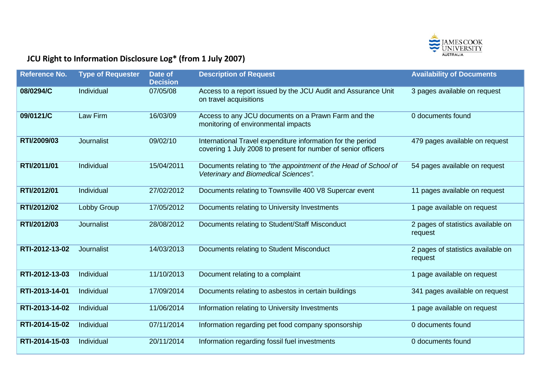

## **JCU Right to Information Disclosure Log\* (from 1 July 2007)**

| <b>Reference No.</b> | <b>Type of Requester</b> | Date of<br><b>Decision</b> | <b>Description of Request</b>                                                                                                | <b>Availability of Documents</b>              |
|----------------------|--------------------------|----------------------------|------------------------------------------------------------------------------------------------------------------------------|-----------------------------------------------|
| 08/0294/C            | Individual               | 07/05/08                   | Access to a report issued by the JCU Audit and Assurance Unit<br>on travel acquisitions                                      | 3 pages available on request                  |
| 09/0121/C            | Law Firm                 | 16/03/09                   | Access to any JCU documents on a Prawn Farm and the<br>monitoring of environmental impacts                                   | 0 documents found                             |
| RTI/2009/03          | Journalist               | 09/02/10                   | International Travel expenditure information for the period<br>covering 1 July 2008 to present for number of senior officers | 479 pages available on request                |
| RTI/2011/01          | Individual               | 15/04/2011                 | Documents relating to "the appointment of the Head of School of<br>Veterinary and Biomedical Sciences".                      | 54 pages available on request                 |
| RTI/2012/01          | Individual               | 27/02/2012                 | Documents relating to Townsville 400 V8 Supercar event                                                                       | 11 pages available on request                 |
| RTI/2012/02          | Lobby Group              | 17/05/2012                 | Documents relating to University Investments                                                                                 | 1 page available on request                   |
| RTI/2012/03          | Journalist               | 28/08/2012                 | Documents relating to Student/Staff Misconduct                                                                               | 2 pages of statistics available on<br>request |
| RTI-2012-13-02       | Journalist               | 14/03/2013                 | Documents relating to Student Misconduct                                                                                     | 2 pages of statistics available on<br>request |
| RTI-2012-13-03       | Individual               | 11/10/2013                 | Document relating to a complaint                                                                                             | 1 page available on request                   |
| RTI-2013-14-01       | Individual               | 17/09/2014                 | Documents relating to asbestos in certain buildings                                                                          | 341 pages available on request                |
| RTI-2013-14-02       | Individual               | 11/06/2014                 | Information relating to University Investments                                                                               | 1 page available on request                   |
| RTI-2014-15-02       | Individual               | 07/11/2014                 | Information regarding pet food company sponsorship                                                                           | 0 documents found                             |
| RTI-2014-15-03       | Individual               | 20/11/2014                 | Information regarding fossil fuel investments                                                                                | 0 documents found                             |